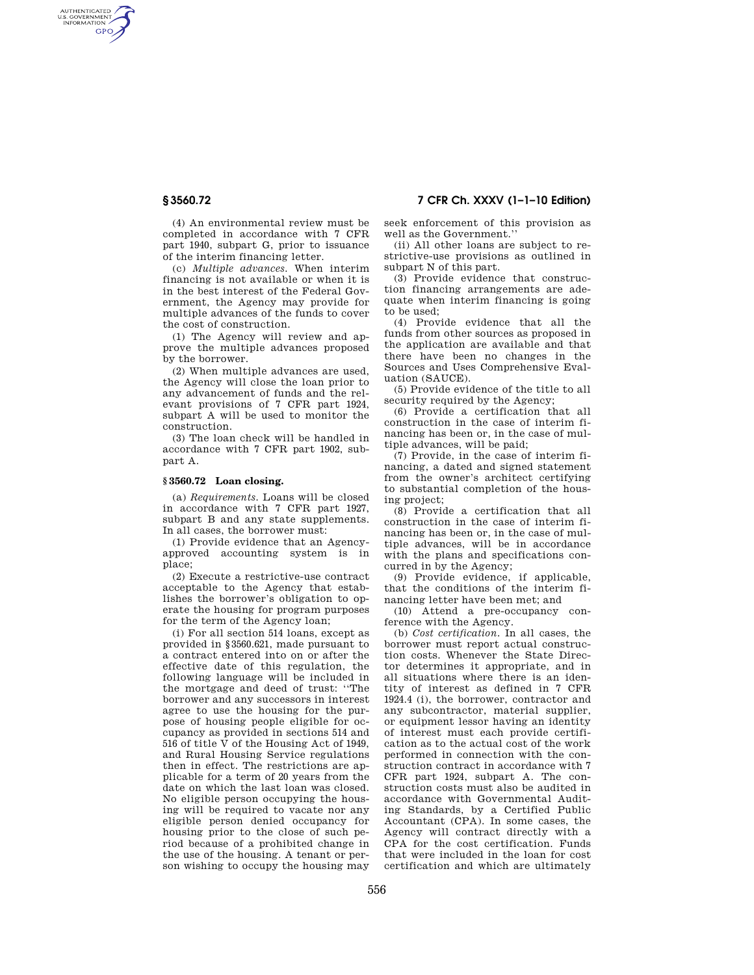AUTHENTICATED<br>U.S. GOVERNMENT<br>INFORMATION GPO

**§ 3560.72 7 CFR Ch. XXXV (1–1–10 Edition)** 

(4) An environmental review must be completed in accordance with 7 CFR part 1940, subpart G, prior to issuance of the interim financing letter.

(c) *Multiple advances.* When interim financing is not available or when it is in the best interest of the Federal Government, the Agency may provide for multiple advances of the funds to cover the cost of construction.

(1) The Agency will review and approve the multiple advances proposed by the borrower.

(2) When multiple advances are used, the Agency will close the loan prior to any advancement of funds and the relevant provisions of 7 CFR part 1924, subpart A will be used to monitor the construction.

(3) The loan check will be handled in accordance with 7 CFR part 1902, subpart A.

# **§ 3560.72 Loan closing.**

(a) *Requirements.* Loans will be closed in accordance with 7 CFR part 1927, subpart B and any state supplements. In all cases, the borrower must:

(1) Provide evidence that an Agencyapproved accounting system is in place;

(2) Execute a restrictive-use contract acceptable to the Agency that establishes the borrower's obligation to operate the housing for program purposes for the term of the Agency loan;

(i) For all section 514 loans, except as provided in §3560.621, made pursuant to a contract entered into on or after the effective date of this regulation, the following language will be included in the mortgage and deed of trust: ''The borrower and any successors in interest agree to use the housing for the purpose of housing people eligible for occupancy as provided in sections 514 and 516 of title V of the Housing Act of 1949, and Rural Housing Service regulations then in effect. The restrictions are applicable for a term of 20 years from the date on which the last loan was closed. No eligible person occupying the housing will be required to vacate nor any eligible person denied occupancy for housing prior to the close of such period because of a prohibited change in the use of the housing. A tenant or person wishing to occupy the housing may

seek enforcement of this provision as well as the Government.''

(ii) All other loans are subject to restrictive-use provisions as outlined in subpart N of this part.

(3) Provide evidence that construction financing arrangements are adequate when interim financing is going to be used;

(4) Provide evidence that all the funds from other sources as proposed in the application are available and that there have been no changes in the Sources and Uses Comprehensive Evaluation (SAUCE).

(5) Provide evidence of the title to all security required by the Agency;

(6) Provide a certification that all construction in the case of interim financing has been or, in the case of multiple advances, will be paid;

(7) Provide, in the case of interim financing, a dated and signed statement from the owner's architect certifying to substantial completion of the housing project;

(8) Provide a certification that all construction in the case of interim financing has been or, in the case of multiple advances, will be in accordance with the plans and specifications concurred in by the Agency;

(9) Provide evidence, if applicable, that the conditions of the interim financing letter have been met; and

(10) Attend a pre-occupancy conference with the Agency.

(b) *Cost certification.* In all cases, the borrower must report actual construction costs. Whenever the State Director determines it appropriate, and in all situations where there is an identity of interest as defined in 7 CFR 1924.4 (i), the borrower, contractor and any subcontractor, material supplier, or equipment lessor having an identity of interest must each provide certification as to the actual cost of the work performed in connection with the construction contract in accordance with 7 CFR part 1924, subpart A. The construction costs must also be audited in accordance with Governmental Auditing Standards, by a Certified Public Accountant (CPA). In some cases, the Agency will contract directly with a CPA for the cost certification. Funds that were included in the loan for cost certification and which are ultimately